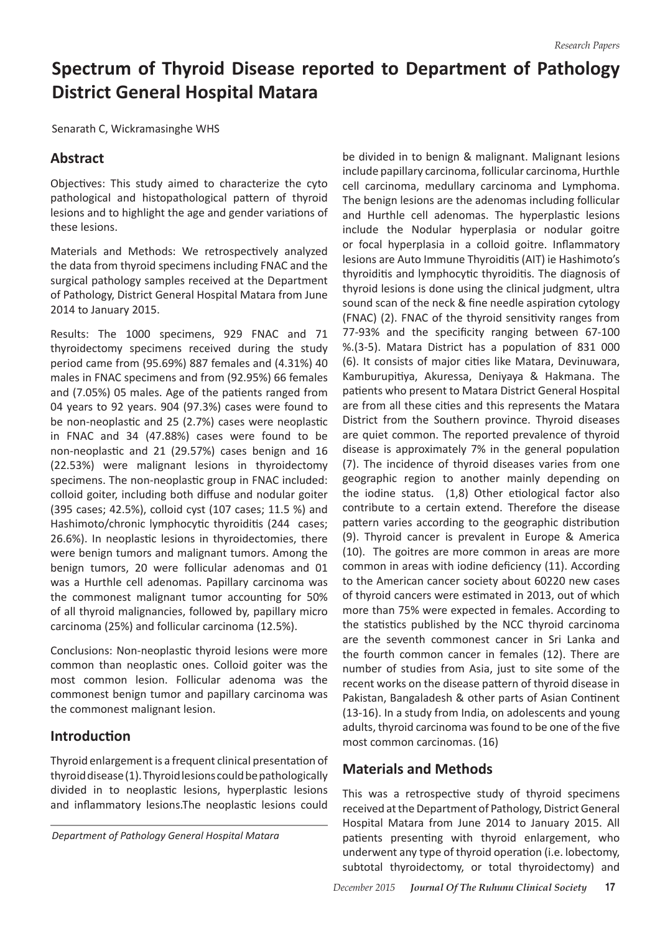# **Spectrum of Thyroid Disease reported to Department of Pathology District General Hospital Matara**

Senarath C, Wickramasinghe WHS

### **Abstract**

Objectives: This study aimed to characterize the cyto pathological and histopathological pattern of thyroid lesions and to highlight the age and gender variations of these lesions.

Materials and Methods: We retrospectively analyzed the data from thyroid specimens including FNAC and the surgical pathology samples received at the Department of Pathology, District General Hospital Matara from June 2014 to January 2015.

Results: The 1000 specimens, 929 FNAC and 71 thyroidectomy specimens received during the study period came from (95.69%) 887 females and (4.31%) 40 males in FNAC specimens and from (92.95%) 66 females and (7.05%) 05 males. Age of the patients ranged from 04 years to 92 years. 904 (97.3%) cases were found to be non-neoplastic and 25 (2.7%) cases were neoplastic in FNAC and 34 (47.88%) cases were found to be non-neoplastic and 21 (29.57%) cases benign and 16 (22.53%) were malignant lesions in thyroidectomy specimens. The non-neoplastic group in FNAC included: colloid goiter, including both diffuse and nodular goiter (395 cases; 42.5%), colloid cyst (107 cases; 11.5 %) and Hashimoto/chronic lymphocytic thyroiditis (244 cases; 26.6%). In neoplastic lesions in thyroidectomies, there were benign tumors and malignant tumors. Among the benign tumors, 20 were follicular adenomas and 01 was a Hurthle cell adenomas. Papillary carcinoma was the commonest malignant tumor accounting for 50% of all thyroid malignancies, followed by, papillary micro carcinoma (25%) and follicular carcinoma (12.5%).

Conclusions: Non-neoplastic thyroid lesions were more common than neoplastic ones. Colloid goiter was the most common lesion. Follicular adenoma was the commonest benign tumor and papillary carcinoma was the commonest malignant lesion.

#### **Introduction**

Thyroid enlargement is a frequent clinical presentation of thyroid disease (1). Thyroid lesions could be pathologically divided in to neoplastic lesions, hyperplastic lesions and inflammatory lesions.The neoplastic lesions could

*Department of Pathology General Hospital Matara* 

be divided in to benign & malignant. Malignant lesions include papillary carcinoma, follicular carcinoma, Hurthle cell carcinoma, medullary carcinoma and Lymphoma. The benign lesions are the adenomas including follicular and Hurthle cell adenomas. The hyperplastic lesions include the Nodular hyperplasia or nodular goitre or focal hyperplasia in a colloid goitre. Inflammatory lesions are Auto Immune Thyroiditis (AIT) ie Hashimoto's thyroiditis and lymphocytic thyroiditis. The diagnosis of thyroid lesions is done using the clinical judgment, ultra sound scan of the neck & fine needle aspiration cytology (FNAC) (2). FNAC of the thyroid sensitivity ranges from 77-93% and the specificity ranging between 67-100 %.(3-5). Matara District has a population of 831 000 (6). It consists of major cities like Matara, Devinuwara, Kamburupitiya, Akuressa, Deniyaya & Hakmana. The patients who present to Matara District General Hospital are from all these cities and this represents the Matara District from the Southern province. Thyroid diseases are quiet common. The reported prevalence of thyroid disease is approximately 7% in the general population (7). The incidence of thyroid diseases varies from one geographic region to another mainly depending on the iodine status. (1,8) Other etiological factor also contribute to a certain extend. Therefore the disease pattern varies according to the geographic distribution (9). Thyroid cancer is prevalent in Europe & America (10). The goitres are more common in areas are more common in areas with iodine deficiency (11). According to the American cancer society about 60220 new cases of thyroid cancers were estimated in 2013, out of which more than 75% were expected in females. According to the statistics published by the NCC thyroid carcinoma are the seventh commonest cancer in Sri Lanka and the fourth common cancer in females (12). There are number of studies from Asia, just to site some of the recent works on the disease pattern of thyroid disease in Pakistan, Bangaladesh & other parts of Asian Continent (13-16). In a study from India, on adolescents and young adults, thyroid carcinoma wasfound to be one of the five most common carcinomas. (16)

#### **Materials and Methods**

This was a retrospective study of thyroid specimens received at the Department of Pathology, District General Hospital Matara from June 2014 to January 2015. All patients presenting with thyroid enlargement, who underwent any type of thyroid operation (i.e. lobectomy, subtotal thyroidectomy, or total thyroidectomy) and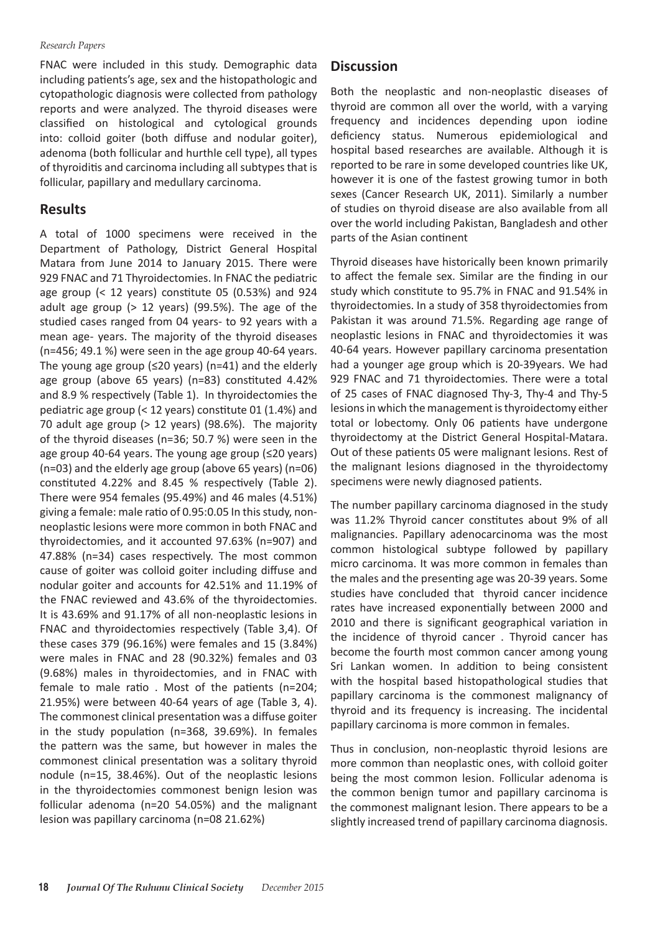#### *Research Papers*

FNAC were included in this study. Demographic data including patients's age, sex and the histopathologic and cytopathologic diagnosis were collected from pathology reports and were analyzed. The thyroid diseases were classified on histological and cytological grounds into: colloid goiter (both diffuse and nodular goiter), adenoma (both follicular and hurthle cell type), all types of thyroiditis and carcinoma including allsubtypesthat is follicular, papillary and medullary carcinoma.

# **Results**

A total of 1000 specimens were received in the Department of Pathology, District General Hospital Matara from June 2014 to January 2015. There were 929 FNAC and 71 Thyroidectomies. In FNAC the pediatric age group (< 12 years) constitute 05 (0.53%) and 924 adult age group (> 12 years) (99.5%). The age of the studied cases ranged from 04 years- to 92 years with a mean age- years. The majority of the thyroid diseases (n=456; 49.1 %) were seen in the age group 40-64 years. The young age group ( $\leq$ 20 years) (n=41) and the elderly age group (above 65 years) (n=83) constituted 4.42% and 8.9 % respectively (Table 1). In thyroidectomies the pediatric age group (< 12 years) constitute 01 (1.4%) and 70 adult age group (> 12 years) (98.6%). The majority of the thyroid diseases (n=36; 50.7 %) were seen in the age group 40-64 years. The young age group (≤20 years) (n=03) and the elderly age group (above 65 years) (n=06) constituted 4.22% and 8.45 % respectively (Table 2). There were 954 females (95.49%) and 46 males (4.51%) giving a female: male ratio of 0.95:0.05 In this study, nonneoplastic lesions were more common in both FNAC and thyroidectomies, and it accounted 97.63% (n=907) and 47.88% (n=34) cases respectively. The most common cause of goiter was colloid goiter including diffuse and nodular goiter and accounts for 42.51% and 11.19% of the FNAC reviewed and 43.6% of the thyroidectomies. It is 43.69% and 91.17% of all non-neoplastic lesions in FNAC and thyroidectomies respectively (Table 3,4). Of these cases 379 (96.16%) were females and 15 (3.84%) were males in FNAC and 28 (90.32%) females and 03 (9.68%) males in thyroidectomies, and in FNAC with female to male ratio . Most of the patients (n=204; 21.95%) were between 40-64 years of age (Table 3, 4). The commonest clinical presentation was a diffuse goiter in the study population (n=368, 39.69%). In females the pattern was the same, but however in males the commonest clinical presentation was a solitary thyroid nodule (n=15, 38.46%). Out of the neoplastic lesions in the thyroidectomies commonest benign lesion was follicular adenoma (n=20 54.05%) and the malignant lesion was papillary carcinoma (n=08 21.62%)

# **Discussion**

Both the neoplastic and non-neoplastic diseases of thyroid are common all over the world, with a varying frequency and incidences depending upon iodine deficiency status. Numerous epidemiological and hospital based researches are available. Although it is reported to be rare in some developed countries like UK, however it is one of the fastest growing tumor in both sexes (Cancer Research UK, 2011). Similarly a number of studies on thyroid disease are also available from all over the world including Pakistan, Bangladesh and other parts of the Asian continent

Thyroid diseases have historically been known primarily to affect the female sex. Similar are the finding in our study which constitute to 95.7% in FNAC and 91.54% in thyroidectomies. In a study of 358 thyroidectomies from Pakistan it was around 71.5%. Regarding age range of neoplastic lesions in FNAC and thyroidectomies it was 40-64 years. However papillary carcinoma presentation had a younger age group which is 20-39years. We had 929 FNAC and 71 thyroidectomies. There were a total of 25 cases of FNAC diagnosed Thy-3, Thy-4 and Thy-5 lesions in which the management is thyroidectomy either total or lobectomy. Only 06 patients have undergone thyroidectomy at the District General Hospital-Matara. Out of these patients 05 were malignant lesions. Rest of the malignant lesions diagnosed in the thyroidectomy specimens were newly diagnosed patients.

The number papillary carcinoma diagnosed in the study was 11.2% Thyroid cancer constitutes about 9% of all malignancies. Papillary adenocarcinoma was the most common histological subtype followed by papillary micro carcinoma. It was more common in females than the males and the presenting age was 20-39 years. Some studies have concluded that thyroid cancer incidence rates have increased exponentially between 2000 and 2010 and there is significant geographical variation in the incidence of thyroid cancer . Thyroid cancer has become the fourth most common cancer among young Sri Lankan women. In addition to being consistent with the hospital based histopathological studies that papillary carcinoma is the commonest malignancy of thyroid and its frequency is increasing. The incidental papillary carcinoma is more common in females.

Thus in conclusion, non-neoplastic thyroid lesions are more common than neoplastic ones, with colloid goiter being the most common lesion. Follicular adenoma is the common benign tumor and papillary carcinoma is the commonest malignant lesion. There appears to be a slightly increased trend of papillary carcinoma diagnosis.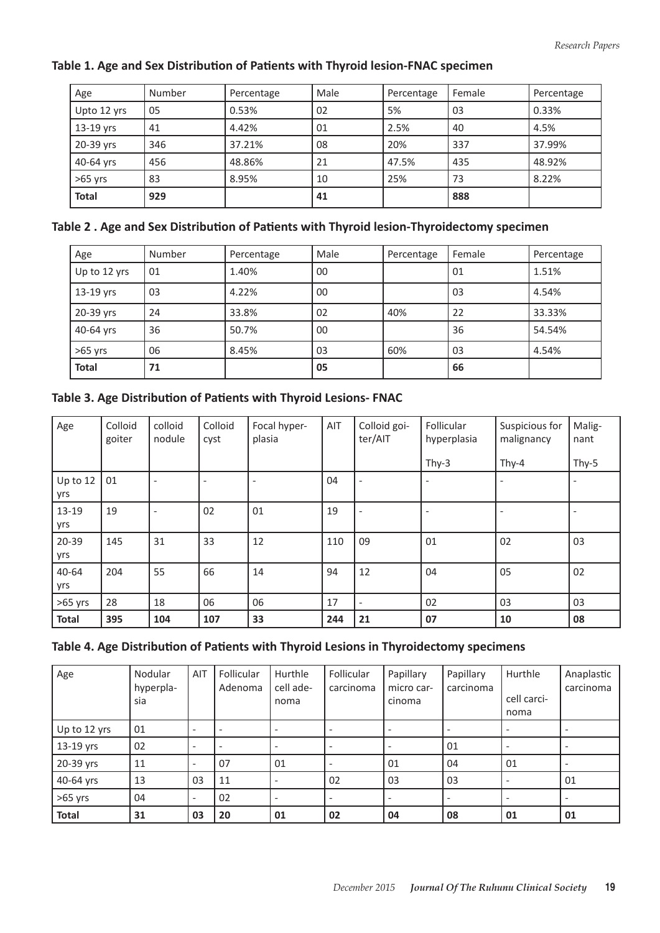# **Table 1. Age and Sex Distribution of Patients with Thyroid lesion-FNAC specimen**

| Age          | Number | Percentage | Male | Percentage | Female | Percentage |
|--------------|--------|------------|------|------------|--------|------------|
| Upto 12 yrs  | 05     | 0.53%      | 02   | 5%         | 03     | 0.33%      |
| $13-19$ yrs  | 41     | 4.42%      | 01   | 2.5%       | 40     | 4.5%       |
| 20-39 yrs    | 346    | 37.21%     | 08   | 20%        | 337    | 37.99%     |
| 40-64 yrs    | 456    | 48.86%     | 21   | 47.5%      | 435    | 48.92%     |
| $>65$ yrs    | 83     | 8.95%      | 10   | 25%        | 73     | 8.22%      |
| <b>Total</b> | 929    |            | 41   |            | 888    |            |

# **Table 2 . Age and Sex Distribution of Patients with Thyroid lesion-Thyroidectomy specimen**

| Age          | Number | Percentage | Male | Percentage | Female | Percentage |
|--------------|--------|------------|------|------------|--------|------------|
| Up to 12 yrs | 01     | 1.40%      | 00   |            | 01     | 1.51%      |
| 13-19 yrs    | 03     | 4.22%      | 00   |            | 03     | 4.54%      |
| 20-39 yrs    | 24     | 33.8%      | 02   | 40%        | 22     | 33.33%     |
| 40-64 yrs    | 36     | 50.7%      | 00   |            | 36     | 54.54%     |
| $>65$ yrs    | 06     | 8.45%      | 03   | 60%        | 03     | 4.54%      |
| <b>Total</b> | 71     |            | 05   |            | 66     |            |

# **Table 3. Age Distribution of Patients with Thyroid Lesions- FNAC**

| Age             | Colloid<br>goiter | colloid<br>nodule | Colloid<br>cyst          | Focal hyper-<br>plasia | AIT | Colloid goi-<br>ter/AIT  | Follicular<br>hyperplasia | Suspicious for<br>malignancy | Malig-<br>nant |
|-----------------|-------------------|-------------------|--------------------------|------------------------|-----|--------------------------|---------------------------|------------------------------|----------------|
|                 |                   |                   |                          |                        |     |                          | Thy- $3$                  | Thy-4                        | Thy-5          |
| Up to 12<br>yrs | 01                |                   | $\overline{\phantom{a}}$ |                        | 04  |                          |                           |                              |                |
| 13-19<br>yrs    | 19                |                   | 02                       | 01                     | 19  | $\overline{\phantom{a}}$ |                           |                              |                |
| 20-39<br>yrs    | 145               | 31                | 33                       | 12                     | 110 | 09                       | 01                        | 02                           | 03             |
| 40-64<br>yrs    | 204               | 55                | 66                       | 14                     | 94  | 12                       | 04                        | 05                           | 02             |
| >65 yrs         | 28                | 18                | 06                       | 06                     | 17  | $\overline{\phantom{a}}$ | 02                        | 03                           | 03             |
| <b>Total</b>    | 395               | 104               | 107                      | 33                     | 244 | 21                       | 07                        | 10                           | 08             |

# **Table 4. Age Distribution of Patients with Thyroid Lesions in Thyroidectomy specimens**

| Age          | Nodular<br>hyperpla-<br>sia | AIT | Follicular<br>Adenoma    | Hurthle<br>cell ade-<br>noma | Follicular<br>carcinoma | Papillary<br>micro car-<br>cinoma | Papillary<br>carcinoma | Hurthle<br>cell carci-<br>noma | Anaplastic<br>carcinoma |
|--------------|-----------------------------|-----|--------------------------|------------------------------|-------------------------|-----------------------------------|------------------------|--------------------------------|-------------------------|
| Up to 12 yrs | 01                          |     | $\overline{\phantom{a}}$ |                              |                         |                                   |                        |                                |                         |
| 13-19 yrs    | 02                          |     |                          |                              |                         |                                   | 01                     |                                |                         |
| 20-39 yrs    | 11                          |     | 07                       | 01                           |                         | 01                                | 04                     | 01                             |                         |
| 40-64 yrs    | 13                          | 03  | 11                       |                              | 02                      | 03                                | 03                     |                                | 01                      |
| $>65$ yrs    | 04                          |     | 02                       |                              |                         |                                   |                        |                                |                         |
| <b>Total</b> | 31                          | 03  | 20                       | 01                           | 02                      | 04                                | 08                     | 01                             | 01                      |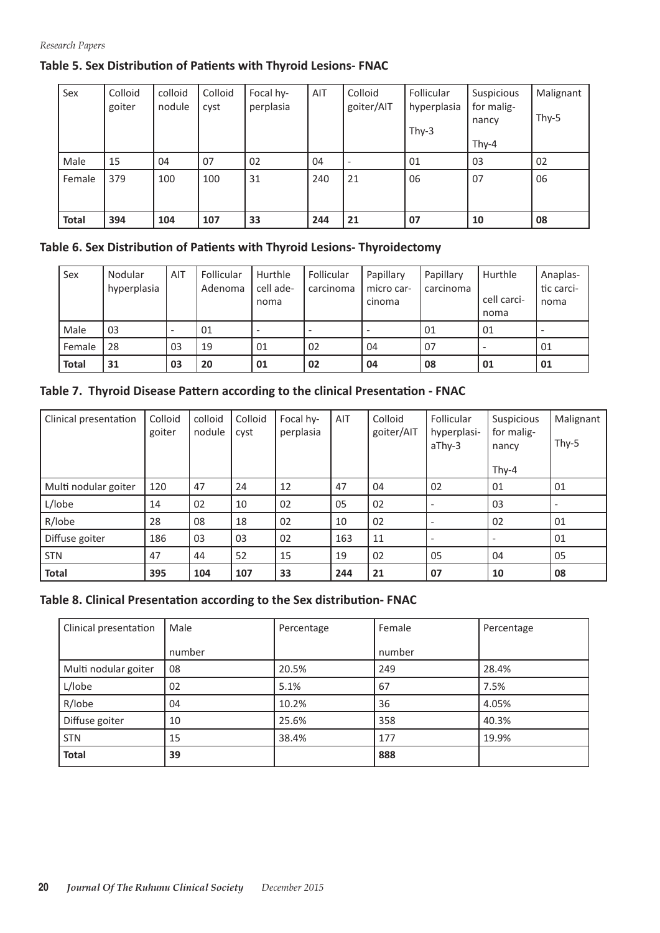# **Table 5. Sex Distribution of Patients with Thyroid Lesions- FNAC**

| Sex          | Colloid<br>goiter | colloid<br>nodule | Colloid<br>cyst | Focal hy-<br>perplasia | AIT | Colloid<br>goiter/AIT | Follicular<br>hyperplasia<br>$Thy-3$ | Suspicious<br>for malig-<br>nancy<br>Thy-4 | Malignant<br>Thy-5 |
|--------------|-------------------|-------------------|-----------------|------------------------|-----|-----------------------|--------------------------------------|--------------------------------------------|--------------------|
| Male         | 15                | 04                | 07              | 02                     | 04  |                       | 01                                   | 03                                         | 02                 |
| Female       | 379               | 100               | 100             | 31                     | 240 | 21                    | 06                                   | 07                                         | 06                 |
| <b>Total</b> | 394               | 104               | 107             | 33                     | 244 | 21                    | 07                                   | 10                                         | 08                 |

#### **Table 6. Sex Distribution of Patients with Thyroid Lesions- Thyroidectomy**

| Sex          | Nodular<br>hyperplasia | AIT | Follicular<br>Adenoma | Hurthle<br>cell ade-<br>noma | Follicular<br>carcinoma  | Papillary<br>micro car-<br>cinoma | Papillary<br>carcinoma | Hurthle<br>cell carci-<br>noma | Anaplas-<br>tic carci-<br>noma |
|--------------|------------------------|-----|-----------------------|------------------------------|--------------------------|-----------------------------------|------------------------|--------------------------------|--------------------------------|
| Male         | 03                     |     | 01                    |                              | $\overline{\phantom{a}}$ |                                   | 01                     | 01                             | $\overline{\phantom{a}}$       |
| Female       | 28                     | 03  | 19                    | 01                           | 02                       | 04                                | 07                     |                                | 01                             |
| <b>Total</b> | 31                     | 03  | 20                    | 01                           | 02                       | 04                                | 08                     | 01                             | 01                             |

# **Table 7. Thyroid Disease Pattern according to the clinical Presentation - FNAC**

| Clinical presentation | Colloid | colloid | Colloid | Focal hy- | AIT | Colloid    | Follicular              | Suspicious          | Malignant |
|-----------------------|---------|---------|---------|-----------|-----|------------|-------------------------|---------------------|-----------|
|                       | goiter  | nodule  | cyst    | perplasia |     | goiter/AIT | hyperplasi-<br>$aThv-3$ | for malig-<br>nancy | Thy-5     |
|                       |         |         |         |           |     |            |                         | Thy-4               |           |
| Multi nodular goiter  | 120     | 47      | 24      | 12        | 47  | 04         | 02                      | 01                  | 01        |
| L/lobe                | 14      | 02      | 10      | 02        | 05  | 02         |                         | 03                  |           |
| R/lobe                | 28      | 08      | 18      | 02        | 10  | 02         |                         | 02                  | 01        |
| Diffuse goiter        | 186     | 03      | 03      | 02        | 163 | 11         |                         |                     | 01        |
| <b>STN</b>            | 47      | 44      | 52      | 15        | 19  | 02         | 05                      | 04                  | 05        |
| <b>Total</b>          | 395     | 104     | 107     | 33        | 244 | 21         | 07                      | 10                  | 08        |

### **Table 8. Clinical Presentation according to the Sex distribution- FNAC**

| Clinical presentation | Male   | Percentage | Female | Percentage |
|-----------------------|--------|------------|--------|------------|
|                       | number |            | number |            |
| Multi nodular goiter  | 08     | 20.5%      | 249    | 28.4%      |
| L/lobe                | 02     | 5.1%       | 67     | 7.5%       |
| R/lobe                | 04     | 10.2%      | 36     | 4.05%      |
| Diffuse goiter        | 10     | 25.6%      | 358    | 40.3%      |
| <b>STN</b>            | 15     | 38.4%      | 177    | 19.9%      |
| <b>Total</b>          | 39     |            | 888    |            |